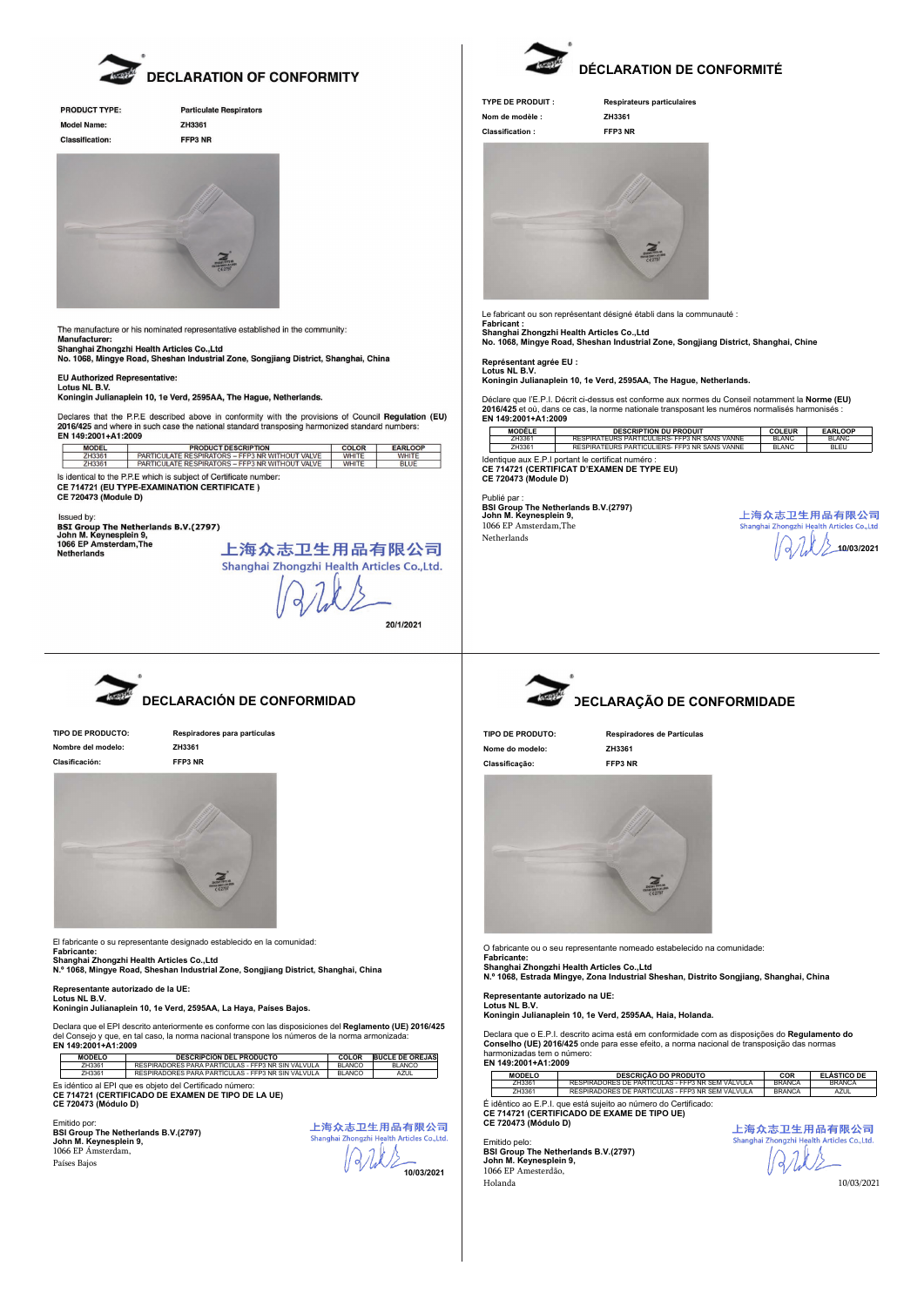

| <b>PRODUCT TYPE:</b>   | Par |
|------------------------|-----|
| Model Name:            | ZH: |
| <b>Classification:</b> | FFF |
|                        |     |





The manufacture or his nominated representative established in the community: The manufacture or his nominated representative established in the community:<br>Manufacturer:<br>Shanghai Zhongzhi Health Articles Co.,Ltd<br>Shanghai Zhongzhi Health Articles Co.,Ltd<br>No. 1068, Mingye Road, Sheshan Industrial Zone

EU Authorized Representative: Lo Additionzer

Koningin Julianaplein 10, 1e Verd, 2595AA, The Hague, Netherlands.

Declares that the P.P.E described above in conformity with the provisions of Council Regulation (EU) 2016/425 and where in such case the national standard transposing harmonized standard numbers:<br>EN 149:2001+A1:2009

| <b>MODEL</b>                                                                                                                                           | <b>PRODUCT DESCRIPTION</b>                      | <b>COLOR</b> | <b>EARLOOP</b> |  |  |
|--------------------------------------------------------------------------------------------------------------------------------------------------------|-------------------------------------------------|--------------|----------------|--|--|
| 7H3361                                                                                                                                                 | PARTICULATE RESPIRATORS - FFP3 NR WITHOUT VALVE | <b>WHITE</b> | <b>WHITE</b>   |  |  |
| ZH3361                                                                                                                                                 | PARTICULATE RESPIRATORS - FEP3 NR WITHOUT VALVE | <b>WHITE</b> | <b>BLUE</b>    |  |  |
| Is identical to the P.P.E which is subject of Certificate number:<br><b>CE 714721 (EU TYPE-EXAMINATION CERTIFICATE)</b><br><b>CE 720473 (Module D)</b> |                                                 |              |                |  |  |

Issued by: Issue vy.<br>BSI Group The Netherlands B.V.(2797)<br>John M. Keynesplein 9,<br>1066 EP Amsterdam,The Netherlands

上海众志卫生用品有限公司 Shanghai Zhongzhi Health Articles Co., Ltd.

20/1/2021



**DECLARACIÓN DE CONFORMIDAD**

**Nombre del modelo: ZH3361 Clasificación: FFP3 NR**

**TIPO DE PRODUCTO: Respiradores para partículas**



El fabricante o su representante designado establecido en la comunidad:

Fabricante:<br>Shanghai Zhongzhi Health Articles Co.,Ltd<br>N.º 1068, Mingye Road, Sheshan Industrial Zone, Songjiang District, Shanghai, China

## **Representante autorizado de la UE: Lotus NL B.V.**

**Koningin Julianaplein 10, 1e Verd, 2595AA, La Haya, Países Bajos.**

Declara que el EPI descrito anteriormente es conforme con las disposiciones del **Reglamento (UE) 2016/425**<br>del Consejo y que, en tal caso, la norma nacional transpone los números de la norma armonizada:<br>**EN 149:2001+A1:200** 

| <b>MODELO</b> | <b>DESCRIPCIÓN DEL PRODUCTO</b>                    | COLOR   | <b>BUCLE DE OREJAS</b> |
|---------------|----------------------------------------------------|---------|------------------------|
| 7H3361        | RESPIRADORES PARA PARTÍCULAS - FFP3 NR SIN VÁLVULA | BI ANCO | BI ANCO                |
| ZH3361        | RESPIRADORES PARA PARTÍCULAS - FFP3 NR SIN VÁLVULA | BI ANCO | <b>A7UL</b>            |
| _             |                                                    |         |                        |

Es idéntico al EPI que es objeto del Certificado número: **CE 714721 (CERTIFICADO DE EXAMEN DE TIPO DE LA UE) CE 720473 (Módulo D)**

Emitido por: **BSI Group The Netherlands B.V.(2797) John M. Keynesplein 9,** 1066 EP Ámsterdam, Países Bajos

| 上海众志卫生用品有限公司                                |  |  |  |  |
|---------------------------------------------|--|--|--|--|
| Shanghai Zhongzhi Health Articles Co., Ltd. |  |  |  |  |
| 1222                                        |  |  |  |  |
| 10/03/2021                                  |  |  |  |  |



## **DÉCLARATION DE CONFORMITÉ**

**TYPE DE PRODUIT : Respirateurs particulaires Nom de modèle : ZH3361 Classification : FFP3 NR**



Le fabricant ou son représentant désigné établi dans la communauté : Fabricant :<br>Shanghai Zhongzhi Health Articles Co.,Ltd<br>No. 1068, Mingye Road, Sheshan Industrial Zone, Songjiang District, Shanghai, Chine

**Représentant agrée EU :**

**Lotus NL B.V. Koningin Julianaplein 10, 1e Verd, 2595AA, The Hague, Netherlands.**

Déclare que l'E.P.I. Décrit ci-dessus est conforme aux normes du Conseil notamment la **Norme (EU)**<br>2016/425 et où, dans ce cas, la norme nationale transposant les numéros normalisés harmonisés :<br>**EN 149:2001+A1:2009** 

|                                                                                                                                                                                                                                | MODÈLE | <b>DESCRIPTION DU PRODUIT</b>                 | <b>COLEUR</b> | <b>EARLOOP</b> |
|--------------------------------------------------------------------------------------------------------------------------------------------------------------------------------------------------------------------------------|--------|-----------------------------------------------|---------------|----------------|
|                                                                                                                                                                                                                                | 7H3361 | RESPIRATEURS PARTICULIERS- FEP3 NR SANS VANNE | BI ANC        | BI ANC         |
|                                                                                                                                                                                                                                | 7H3361 | RESPIRATEURS PARTICULIERS- FEP3 NR SANS VANNE | <b>BLANC</b>  | <b>BI FU</b>   |
| and the common contract of the contract of the contract of the common function of the contract of the contract of the contract of the contract of the contract of the contract of the contract of the contract of the contract |        |                                               |               |                |

Identique aux E.P.I portant le certificat numéro : **CE 714721 (CERTIFICAT D'EXAMEN DE TYPE EU) CE 720473 (Module D)**

Publié par : **BSI Group The Netherlands B.V.(2797) John M. Keynesplein 9,** 1066 EP Amsterdam,The Netherlands





## **DECLARAÇÃO DE CONFORMIDADE**

**Nome do modelo: ZH3361 Classificação: FFP3 NR**

**TIPO DE PRODUTO: Respiradores de Partículas**



O fabricante ou o seu representante nomeado estabelecido na comunidade:

Fabricante:<br>Shanghai Zhongzhi Health Articles Co.,Ltd<br>N.º 1068, Estrada Mingye, Zona Industrial Sheshan, Distrito Songjiang, Shanghai, China

**Representante autorizado na UE:**

**Lotus NL B.V. Koningin Julianaplein 10, 1e Verd, 2595AA, Haia, Holanda.**

Declara que o E.P.I. descrito acima está em conformidade com as disposições do **Regulamento do Conselho (UE) 2016/425** onde para esse efeito, a norma nacional de transposição das normas harmonizadas tem o número: **EN 149:2001+A1:2009**

**MODELO DESCRIÇÃO DO PRODUTO COR ELÁSTICO DE** ZH3361 RESPIRADORES DE PARTICULAS - FFP3 NR SEM VÁLVULA BRANCA **O**B**R**RA**E**N**L**C**H**A**A** ZH3361 RESPIRADORES DE PARTICULAS - FFP3 NR SEM VÁLVULA BRANCA AZUL

É idêntico ao E.P.I. que está sujeito ao número do Certificado: **CE 714721 (CERTIFICADO DE EXAME DE TIPO UE) CE 720473 (Módulo D)**

Emitido pelo: **BSI Group The Netherlands B.V.(2797) John M. Keynesplein 9,** 1066 EP Amesterdão, Holanda 10/03/2021

上海众志卫生用品有限公司 Shanghai Zhongzhi He es Co..Ltd Ark